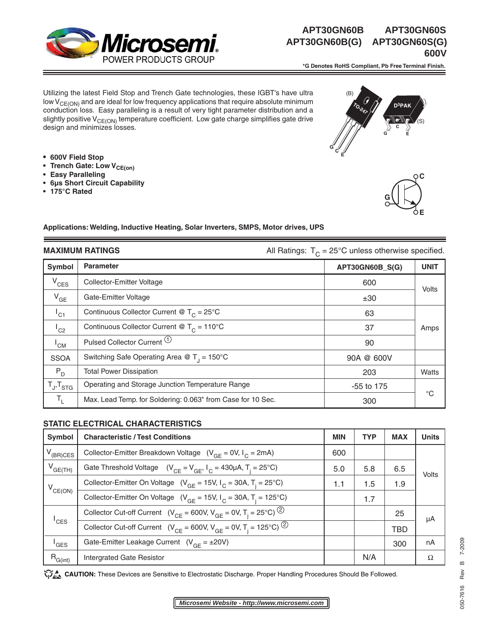

# **APT30GN60B(G) APT30GN60S(G) 600V 600V**

 **\*G Denotes RoHS Compliant, Pb Free Terminal Finish.** 

Utilizing the latest Field Stop and Trench Gate technologies, these IGBT's have ultra low  $V_{CE(ON)}$  and are ideal for low frequency applications that require absolute minimum conduction loss. Easy paralleling is a result of very tight parameter distribution and a slightly positive  $V_{CE(ON)}$  temperature coefficient. Low gate charge simplifies gate drive design and minimizes losses.

- **600V Field Stop**
- Trench Gate: Low V<sub>CE(on)</sub>
- **Easy Paralleling**
- **6µs Short Circuit Capability**
- **175°C Rated**





#### **Applications: Welding, Inductive Heating, Solar Inverters, SMPS, Motor drives, UPS**

**MAXIMUM RATINGS All Ratings: T<sub>C</sub> = 25°C unless otherwise specified.** All Ratings: T<sub>C</sub> = 25°C unless otherwise specified.

|                     | ◡                                                           |                 |             |  |
|---------------------|-------------------------------------------------------------|-----------------|-------------|--|
| Symbol              | <b>Parameter</b>                                            | APT30GN60B_S(G) | <b>UNIT</b> |  |
| $V_{CES}$           | Collector-Emitter Voltage                                   | 600             | Volts       |  |
| $V_{GE}$            | Gate-Emitter Voltage                                        | ±30             |             |  |
| $I_{C1}$            | Continuous Collector Current @ $T_c = 25^{\circ}$ C         | 63              |             |  |
| $^1$ C2             | Continuous Collector Current @ $T_c = 110^{\circ}$ C        | 37              | Amps        |  |
| 'CM                 | Pulsed Collector Current (1)                                | 90              |             |  |
| <b>SSOA</b>         | Switching Safe Operating Area @ $T_1 = 150^{\circ}$ C       | 90A @ 600V      |             |  |
| $P_{D}$             | <b>Total Power Dissipation</b>                              | 203             | Watts       |  |
| $T_{J}$ , $T_{STG}$ | Operating and Storage Junction Temperature Range            | $-55$ to 175    |             |  |
| T,                  | Max. Lead Temp. for Soldering: 0.063" from Case for 10 Sec. | 300             | $^{\circ}C$ |  |

#### **STATIC ELECTRICAL CHARACTERISTICS**

| <b>Symbol</b>    | <b>Characteristic / Test Conditions</b>                                                             | <b>MIN</b> | <b>TYP</b> | <b>MAX</b> | <b>Units</b> |
|------------------|-----------------------------------------------------------------------------------------------------|------------|------------|------------|--------------|
| $V_{(BR)CES}$    | Collector-Emitter Breakdown Voltage $(V_{GF} = 0V, I_C = 2mA)$                                      | 600        |            |            | Volts        |
| $V_{GE(TH)}$     | Gate Threshold Voltage $(V_{CF} = V_{GF}, I_C = 430 \mu A, T_i = 25^{\circ}C)$                      | 5.0        | 5.8        | 6.5        |              |
| $V_{CE(ON)}$     | Collector-Emitter On Voltage $(V_{GF} = 15V, I_C = 30A, T_i = 25^{\circ}C)$                         | 1.1        | 1.5        | 1.9        |              |
|                  | Collector-Emitter On Voltage ( $V_{GF}$ = 15V, $I_C$ = 30A, T <sub>i</sub> = 125°C)                 |            | 1.7        |            |              |
| $I_{\text{CES}}$ | Collector Cut-off Current $(V_{CF} = 600V, V_{GF} = 0V, T_i = 25°C)^ (2)$                           |            |            | 25         | μA           |
|                  | Collector Cut-off Current ( $V_{CE} = 600V$ , $V_{GE} = 0V$ , $T_i = 125^{\circ}C$ ) <sup>(2)</sup> |            |            | <b>TBD</b> |              |
| <sup>'</sup> GES | Gate-Emitter Leakage Current $(V_{GF} = \pm 20V)$                                                   |            |            | 300        | nA           |
| $R_{G(int)}$     | <b>Intergrated Gate Resistor</b>                                                                    |            | N/A        |            | Ω            |

**CAUTION:** These Devices are Sensitive to Electrostatic Discharge. Proper Handling Procedures Should Be Followed.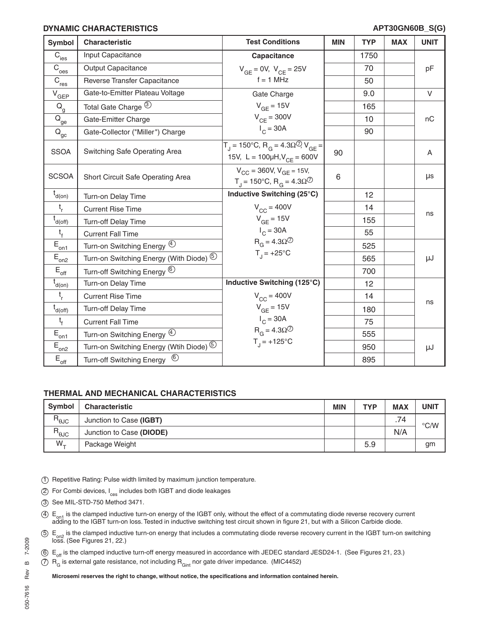#### **DYNAMIC CHARACTERISTICS**

| Symbol                                       | <b>Characteristic</b>                              | <b>Test Conditions</b>                                                                                                | <b>MIN</b> | <b>TYP</b> | <b>MAX</b> | <b>UNIT</b> |
|----------------------------------------------|----------------------------------------------------|-----------------------------------------------------------------------------------------------------------------------|------------|------------|------------|-------------|
| $\overline{C}_{\text{ies}}$                  | Input Capacitance                                  | Capacitance                                                                                                           |            | 1750       |            |             |
| $\bar{C}_{\text{oes}}$                       | <b>Output Capacitance</b>                          | $V_{GE} = 0V$ , $V_{CE} = 25V$                                                                                        |            | 70         |            | pF          |
| $\bar{c}_{\underline{\text{res}}}$           | Reverse Transfer Capacitance                       | $f = 1$ MHz                                                                                                           |            | 50         |            |             |
| $V_{\underline{GEP}}$                        | Gate-to-Emitter Plateau Voltage                    | Gate Charge                                                                                                           |            | 9.0        |            | $\vee$      |
| $Q_{q}$                                      | Total Gate Charge 3                                | $V_{GE}$ = 15V                                                                                                        |            | 165        |            |             |
| $\bar{\mathsf{Q}}_{\underline{\mathsf{ge}}}$ | Gate-Emitter Charge                                | $V_{CF} = 300V$                                                                                                       |            | 10         |            | nC          |
| $Q_{\underline{gc}}$                         | Gate-Collector ("Miller") Charge                   | $I_c = 30A$                                                                                                           |            | 90         |            |             |
| <b>SSOA</b>                                  | Switching Safe Operating Area                      | $T_{\text{I}}$ = 150°C, R <sub>G</sub> = 4.30 <sup>\circ</sup> ) V <sub>GF</sub> =<br>15V, L = 100µH, $V_{CE}$ = 600V | 90         |            |            | A           |
| <b>SCSOA</b>                                 | Short Circuit Safe Operating Area                  | $V_{CC}$ = 360V, $V_{GE}$ = 15V,<br>$T_1 = 150^{\circ}$ C, R <sub>G</sub> = 4.3Ω <sup>⑦</sup>                         | 6          |            |            | μs          |
| $t_{d(0n)}$                                  | Turn-on Delay Time                                 | Inductive Switching (25°C)                                                                                            |            | 12         |            |             |
| $t_{r}$                                      | <b>Current Rise Time</b>                           | $V_{CC}$ = 400V                                                                                                       |            | 14         |            | ns          |
| $t_{d(off)}$                                 | Turn-off Delay Time                                | $V_{GE}$ = 15V                                                                                                        |            | 155        |            |             |
| $t_{f}$                                      | <b>Current Fall Time</b>                           | $I_C = 30A$                                                                                                           |            | 55         |            |             |
| $\bar{E}_{\underline{on1}}$                  | Turn-on Switching Energy 4                         | $R_G = 4.3 \Omega$ <sup>7</sup>                                                                                       |            | 525        |            |             |
| $E_{\text{on2}}$                             | Turn-on Switching Energy (With Diode) <sup>5</sup> | $T_1 = +25^{\circ}C$                                                                                                  |            | 565        |            | μJ          |
| $E_{\rm off}$                                | Turn-off Switching Energy <sup>6</sup>             |                                                                                                                       |            | 700        |            |             |
| $\overline{t}_{d(0n)}$                       | Turn-on Delay Time                                 | Inductive Switching (125°C)                                                                                           |            | 12         |            |             |
| $t_{r}$                                      | <b>Current Rise Time</b>                           | $V_{CC}$ = 400V                                                                                                       |            | 14         |            | ns          |
| $t_{d(off)}$                                 | Turn-off Delay Time                                | $V_{GE}$ = 15V                                                                                                        |            | 180        |            |             |
| $t_{f}$                                      | <b>Current Fall Time</b>                           | $I_C = 30A$                                                                                                           |            | 75         |            |             |
| $\bar{E}_{\underline{on1}}$                  | Turn-on Switching Energy 4                         | $R_G = 4.3 \Omega$ <sup>7</sup>                                                                                       |            | 555        |            |             |
| $E_{\underline{on2}}$                        | Turn-on Switching Energy (Wtih Diode) 5            | $T_{1}$ = +125°C                                                                                                      |            | 950        |            | μJ          |
| $E_{\underline{off}}$                        | $^{\circledR}$<br>Turn-off Switching Energy        |                                                                                                                       |            | 895        |            |             |

### **THERMAL AND MECHANICAL CHARACTERISTICS**

| <b>Symbol</b>                   | <b>Characteristic</b>    | <b>MIN</b> | <b>TYP</b> | <b>MAX</b>             | UNIT          |
|---------------------------------|--------------------------|------------|------------|------------------------|---------------|
| $\mathsf{R}_{\Theta \text{JC}}$ | Junction to Case (IGBT)  |            |            | 74<br>$\cdot$ $\prime$ | $\degree$ C/W |
| $R_{\theta$ JC                  | Junction to Case (DIODE) |            |            | N/A                    |               |
| $W_{+}$                         | Package Weight           |            | 5.9        |                        | gm            |

1 Repetitive Rating: Pulse width limited by maximum junction temperature.

2 For Combi devices, I<sub>ces</sub> includes both IGBT and diode leakages

3 See MIL-STD-750 Method 3471.

 $\Phi$  E<sub>on1</sub> is the clamped inductive turn-on energy of the IGBT only, without the effect of a commutating diode reverse recovery current adding to the IGBT turn-on loss. Tested in inductive switching test circuit shown in

 $5 \epsilon_{\rm on2}$  is the clamped inductive turn-on energy that includes a commutating diode reverse recovery current in the IGBT turn-on switching loss. (See Figures 21, 22.)

 $6 E_{\text{off}}$  is the clamped inductive turn-off energy measured in accordance with JEDEC standard JESD24-1. (See Figures 21, 23.)

 $\circled{7}$  R<sub>G</sub> is external gate resistance, not including R<sub>Gint</sub> nor gate driver impedance. (MIC4452)

Microsemi reserves the right to change, without notice, the specifications and information contained herein.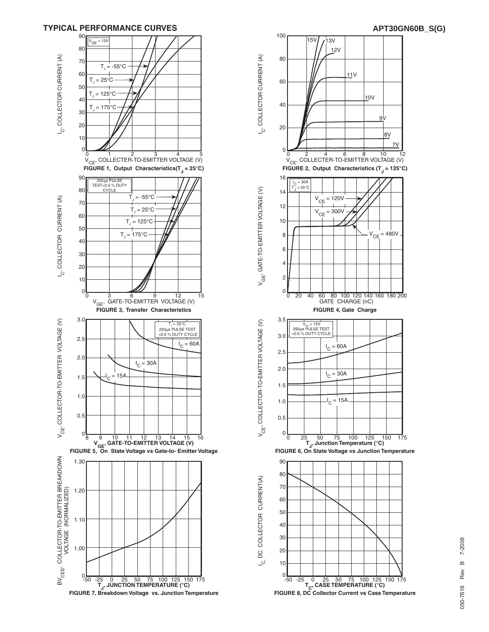



Rev 050-7616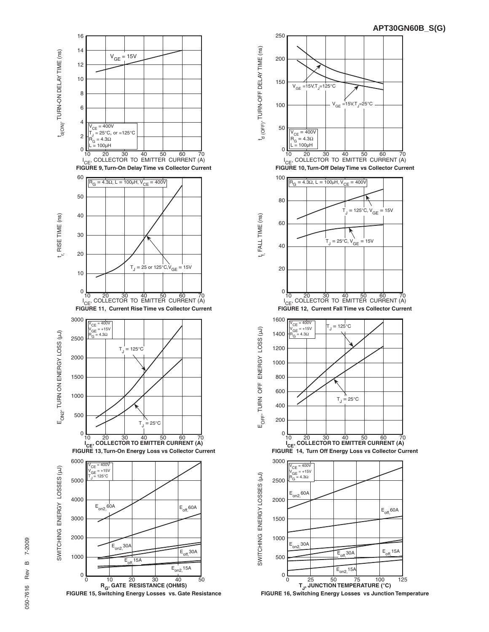

**R<sub>G</sub>, GATE RESISTANCE (OHMS)**<br>**FIGURE 15, Switching Energy Losses vs. Gate Resistance** 



 **FIGURE 16, Switching Energy Losses vs Junction Temperature**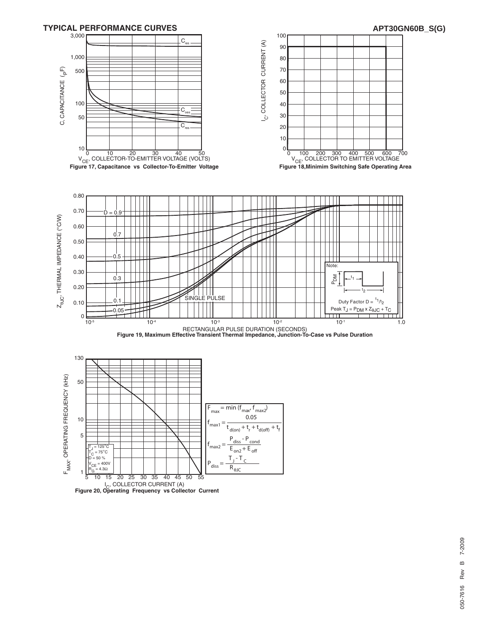